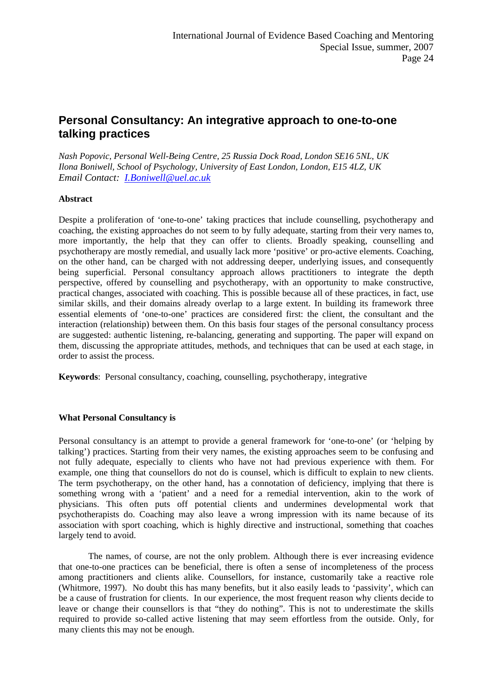# **Personal Consultancy: An integrative approach to one-to-one talking practices**

*Nash Popovic, Personal Well-Being Centre, 25 Russia Dock Road, London SE16 5NL, UK Ilona Boniwell, School of Psychology, University of East London, London, E15 4LZ, UK Email Contact: [I.Boniwell@uel.ac.uk](mailto:I.Boniwell@uel.ac.uk)* 

## **Abstract**

Despite a proliferation of 'one-to-one' taking practices that include counselling, psychotherapy and coaching, the existing approaches do not seem to by fully adequate, starting from their very names to, more importantly, the help that they can offer to clients. Broadly speaking, counselling and psychotherapy are mostly remedial, and usually lack more 'positive' or pro-active elements. Coaching, on the other hand, can be charged with not addressing deeper, underlying issues, and consequently being superficial. Personal consultancy approach allows practitioners to integrate the depth perspective, offered by counselling and psychotherapy, with an opportunity to make constructive, practical changes, associated with coaching. This is possible because all of these practices, in fact, use similar skills, and their domains already overlap to a large extent. In building its framework three essential elements of 'one-to-one' practices are considered first: the client, the consultant and the interaction (relationship) between them. On this basis four stages of the personal consultancy process are suggested: authentic listening, re-balancing, generating and supporting. The paper will expand on them, discussing the appropriate attitudes, methods, and techniques that can be used at each stage, in order to assist the process.

**Keywords**: Personal consultancy, coaching, counselling, psychotherapy, integrative

## **What Personal Consultancy is**

Personal consultancy is an attempt to provide a general framework for 'one-to-one' (or 'helping by talking') practices. Starting from their very names, the existing approaches seem to be confusing and not fully adequate, especially to clients who have not had previous experience with them. For example, one thing that counsellors do not do is counsel, which is difficult to explain to new clients. The term psychotherapy, on the other hand, has a connotation of deficiency, implying that there is something wrong with a 'patient' and a need for a remedial intervention, akin to the work of physicians. This often puts off potential clients and undermines developmental work that psychotherapists do. Coaching may also leave a wrong impression with its name because of its association with sport coaching, which is highly directive and instructional, something that coaches largely tend to avoid.

The names, of course, are not the only problem. Although there is ever increasing evidence that one-to-one practices can be beneficial, there is often a sense of incompleteness of the process among practitioners and clients alike. Counsellors, for instance, customarily take a reactive role (Whitmore, 1997). No doubt this has many benefits, but it also easily leads to 'passivity', which can be a cause of frustration for clients. In our experience, the most frequent reason why clients decide to leave or change their counsellors is that "they do nothing". This is not to underestimate the skills required to provide so-called active listening that may seem effortless from the outside. Only, for many clients this may not be enough.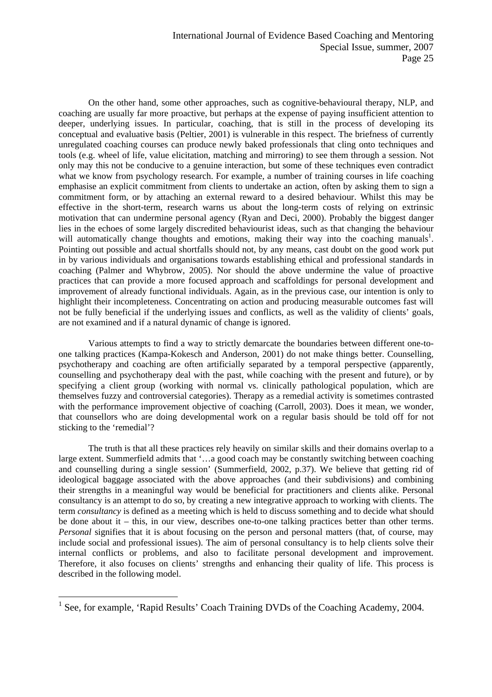On the other hand, some other approaches, such as cognitive-behavioural therapy, NLP, and coaching are usually far more proactive, but perhaps at the expense of paying insufficient attention to deeper, underlying issues. In particular, coaching, that is still in the process of developing its conceptual and evaluative basis (Peltier, 2001) is vulnerable in this respect. The briefness of currently unregulated coaching courses can produce newly baked professionals that cling onto techniques and tools (e.g. wheel of life, value elicitation, matching and mirroring) to see them through a session. Not only may this not be conducive to a genuine interaction, but some of these techniques even contradict what we know from psychology research. For example, a number of training courses in life coaching emphasise an explicit commitment from clients to undertake an action, often by asking them to sign a commitment form, or by attaching an external reward to a desired behaviour. Whilst this may be effective in the short-term, research warns us about the long-term costs of relying on extrinsic motivation that can undermine personal agency (Ryan and Deci, 2000). Probably the biggest danger lies in the echoes of some largely discredited behaviourist ideas, such as that changing the behaviour will automatically change thoughts and emotions, making their way into the coaching manuals<sup>1</sup>. Pointing out possible and actual shortfalls should not, by any means, cast doubt on the good work put in by various individuals and organisations towards establishing ethical and professional standards in coaching (Palmer and Whybrow, 2005). Nor should the above undermine the value of proactive practices that can provide a more focused approach and scaffoldings for personal development and improvement of already functional individuals. Again, as in the previous case, our intention is only to highlight their incompleteness. Concentrating on action and producing measurable outcomes fast will not be fully beneficial if the underlying issues and conflicts, as well as the validity of clients' goals, are not examined and if a natural dynamic of change is ignored.

Various attempts to find a way to strictly demarcate the boundaries between different one-toone talking practices (Kampa-Kokesch and Anderson, 2001) do not make things better. Counselling, psychotherapy and coaching are often artificially separated by a temporal perspective (apparently, counselling and psychotherapy deal with the past, while coaching with the present and future), or by specifying a client group (working with normal vs. clinically pathological population, which are themselves fuzzy and controversial categories). Therapy as a remedial activity is sometimes contrasted with the performance improvement objective of coaching (Carroll, 2003). Does it mean, we wonder, that counsellors who are doing developmental work on a regular basis should be told off for not sticking to the 'remedial'?

The truth is that all these practices rely heavily on similar skills and their domains overlap to a large extent. Summerfield admits that '…a good coach may be constantly switching between coaching and counselling during a single session' (Summerfield, 2002, p.37). We believe that getting rid of ideological baggage associated with the above approaches (and their subdivisions) and combining their strengths in a meaningful way would be beneficial for practitioners and clients alike. Personal consultancy is an attempt to do so, by creating a new integrative approach to working with clients. The term *consultancy* is defined as a meeting which is held to discuss something and to decide what should be done about it – this, in our view, describes one-to-one talking practices better than other terms. *Personal* signifies that it is about focusing on the person and personal matters (that, of course, may include social and professional issues). The aim of personal consultancy is to help clients solve their internal conflicts or problems, and also to facilitate personal development and improvement. Therefore, it also focuses on clients' strengths and enhancing their quality of life. This process is described in the following model.

 $\overline{a}$ 

<span id="page-1-0"></span><sup>&</sup>lt;sup>1</sup> See, for example, 'Rapid Results' Coach Training DVDs of the Coaching Academy, 2004.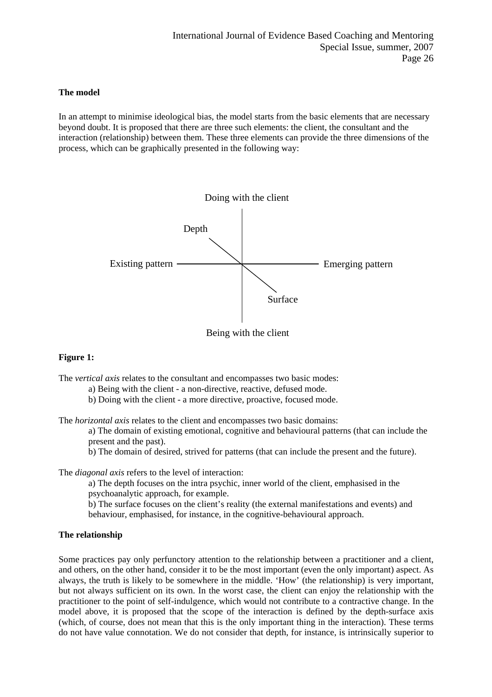## **The model**

In an attempt to minimise ideological bias, the model starts from the basic elements that are necessary beyond doubt. It is proposed that there are three such elements: the client, the consultant and the interaction (relationship) between them. These three elements can provide the three dimensions of the process, which can be graphically presented in the following way:



Being with the client

## **Figure 1:**

The *vertical axis* relates to the consultant and encompasses two basic modes:

a) Being with the client - a non-directive, reactive, defused mode.

b) Doing with the client - a more directive, proactive, focused mode.

The *horizontal axis* relates to the client and encompasses two basic domains:

a) The domain of existing emotional, cognitive and behavioural patterns (that can include the present and the past).

b) The domain of desired, strived for patterns (that can include the present and the future).

## The *diagonal axis* refers to the level of interaction:

a) The depth focuses on the intra psychic, inner world of the client, emphasised in the psychoanalytic approach, for example.

b) The surface focuses on the client's reality (the external manifestations and events) and behaviour, emphasised, for instance, in the cognitive-behavioural approach.

## **The relationship**

Some practices pay only perfunctory attention to the relationship between a practitioner and a client, and others, on the other hand, consider it to be the most important (even the only important) aspect. As always, the truth is likely to be somewhere in the middle. 'How' (the relationship) is very important, but not always sufficient on its own. In the worst case, the client can enjoy the relationship with the practitioner to the point of self-indulgence, which would not contribute to a contractive change. In the model above, it is proposed that the scope of the interaction is defined by the depth-surface axis (which, of course, does not mean that this is the only important thing in the interaction). These terms do not have value connotation. We do not consider that depth, for instance, is intrinsically superior to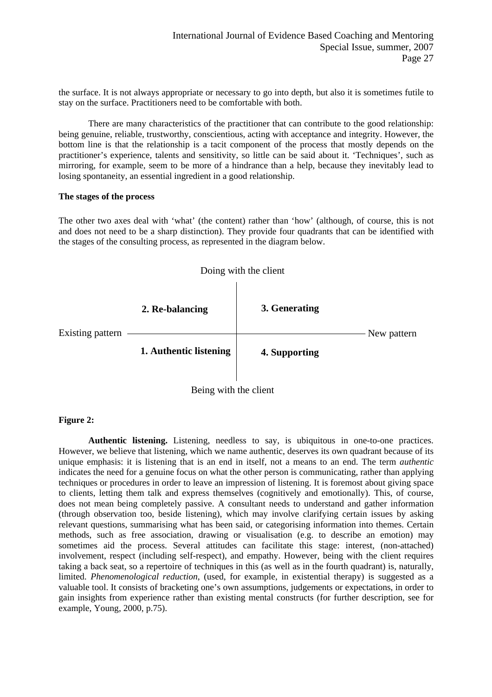the surface. It is not always appropriate or necessary to go into depth, but also it is sometimes futile to stay on the surface. Practitioners need to be comfortable with both.

There are many characteristics of the practitioner that can contribute to the good relationship: being genuine, reliable, trustworthy, conscientious, acting with acceptance and integrity. However, the bottom line is that the relationship is a tacit component of the process that mostly depends on the practitioner's experience, talents and sensitivity, so little can be said about it. 'Techniques', such as mirroring, for example, seem to be more of a hindrance than a help, because they inevitably lead to losing spontaneity, an essential ingredient in a good relationship.

#### **The stages of the process**

The other two axes deal with 'what' (the content) rather than 'how' (although, of course, this is not and does not need to be a sharp distinction). They provide four quadrants that can be identified with the stages of the consulting process, as represented in the diagram below.



Being with the client

## **Figure 2:**

 **Authentic listening.** Listening, needless to say, is ubiquitous in one-to-one practices. However, we believe that listening, which we name authentic, deserves its own quadrant because of its unique emphasis: it is listening that is an end in itself, not a means to an end. The term *authentic* indicates the need for a genuine focus on what the other person is communicating, rather than applying techniques or procedures in order to leave an impression of listening. It is foremost about giving space to clients, letting them talk and express themselves (cognitively and emotionally). This, of course, does not mean being completely passive. A consultant needs to understand and gather information (through observation too, beside listening), which may involve clarifying certain issues by asking relevant questions, summarising what has been said, or categorising information into themes. Certain methods, such as free association, drawing or visualisation (e.g. to describe an emotion) may sometimes aid the process. Several attitudes can facilitate this stage: interest, (non-attached) involvement, respect (including self-respect), and empathy. However, being with the client requires taking a back seat, so a repertoire of techniques in this (as well as in the fourth quadrant) is, naturally, limited. *Phenomenological reduction*, (used, for example, in existential therapy) is suggested as a valuable tool. It consists of bracketing one's own assumptions, judgements or expectations, in order to gain insights from experience rather than existing mental constructs (for further description, see for example, Young, 2000, p.75).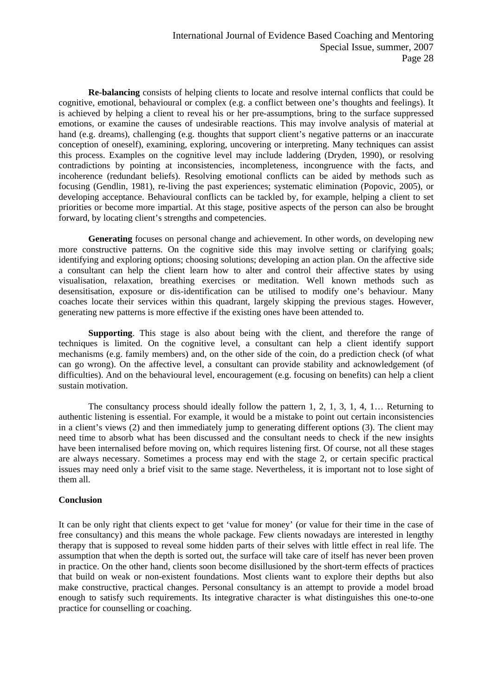**Re-balancing** consists of helping clients to locate and resolve internal conflicts that could be cognitive, emotional, behavioural or complex (e.g. a conflict between one's thoughts and feelings). It is achieved by helping a client to reveal his or her pre-assumptions, bring to the surface suppressed emotions, or examine the causes of undesirable reactions. This may involve analysis of material at hand (e.g. dreams), challenging (e.g. thoughts that support client's negative patterns or an inaccurate conception of oneself), examining, exploring, uncovering or interpreting. Many techniques can assist this process. Examples on the cognitive level may include laddering (Dryden, 1990), or resolving contradictions by pointing at inconsistencies, incompleteness, incongruence with the facts, and incoherence (redundant beliefs). Resolving emotional conflicts can be aided by methods such as focusing (Gendlin, 1981), re-living the past experiences; systematic elimination (Popovic, 2005), or developing acceptance. Behavioural conflicts can be tackled by, for example, helping a client to set priorities or become more impartial. At this stage, positive aspects of the person can also be brought forward, by locating client's strengths and competencies.

 **Generating** focuses on personal change and achievement. In other words, on developing new more constructive patterns. On the cognitive side this may involve setting or clarifying goals; identifying and exploring options; choosing solutions; developing an action plan. On the affective side a consultant can help the client learn how to alter and control their affective states by using visualisation, relaxation, breathing exercises or meditation. Well known methods such as desensitisation, exposure or dis-identification can be utilised to modify one's behaviour. Many coaches locate their services within this quadrant, largely skipping the previous stages. However, generating new patterns is more effective if the existing ones have been attended to.

 **Supporting**. This stage is also about being with the client, and therefore the range of techniques is limited. On the cognitive level, a consultant can help a client identify support mechanisms (e.g. family members) and, on the other side of the coin, do a prediction check (of what can go wrong). On the affective level, a consultant can provide stability and acknowledgement (of difficulties). And on the behavioural level, encouragement (e.g. focusing on benefits) can help a client sustain motivation.

 The consultancy process should ideally follow the pattern 1, 2, 1, 3, 1, 4, 1… Returning to authentic listening is essential. For example, it would be a mistake to point out certain inconsistencies in a client's views (2) and then immediately jump to generating different options (3). The client may need time to absorb what has been discussed and the consultant needs to check if the new insights have been internalised before moving on, which requires listening first. Of course, not all these stages are always necessary. Sometimes a process may end with the stage 2, or certain specific practical issues may need only a brief visit to the same stage. Nevertheless, it is important not to lose sight of them all.

## **Conclusion**

It can be only right that clients expect to get 'value for money' (or value for their time in the case of free consultancy) and this means the whole package. Few clients nowadays are interested in lengthy therapy that is supposed to reveal some hidden parts of their selves with little effect in real life. The assumption that when the depth is sorted out, the surface will take care of itself has never been proven in practice. On the other hand, clients soon become disillusioned by the short-term effects of practices that build on weak or non-existent foundations. Most clients want to explore their depths but also make constructive, practical changes. Personal consultancy is an attempt to provide a model broad enough to satisfy such requirements. Its integrative character is what distinguishes this one-to-one practice for counselling or coaching.